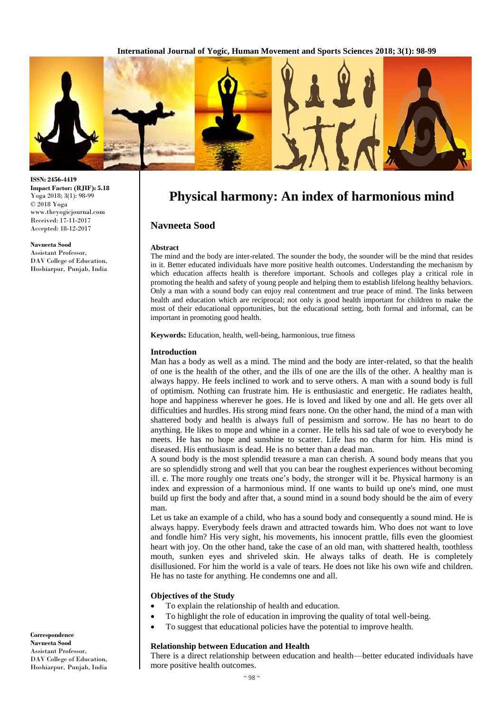

# **Physical harmony: An index of harmonious mind**

## **Navneeta Sood**

#### **Abstract**

The mind and the body are inter-related. The sounder the body, the sounder will be the mind that resides in it. Better educated individuals have more positive health outcomes. Understanding the mechanism by which education affects health is therefore important. Schools and colleges play a critical role in promoting the health and safety of young people and helping them to establish lifelong healthy behaviors. Only a man with a sound body can enjoy real contentment and true peace of mind. The links between health and education which are reciprocal; not only is good health important for children to make the most of their educational opportunities, but the educational setting, both formal and informal, can be important in promoting good health.

**Keywords:** Education, health, well-being, harmonious, true fitness

#### **Introduction**

Man has a body as well as a mind. The mind and the body are inter-related, so that the health of one is the health of the other, and the ills of one are the ills of the other. A healthy man is always happy. He feels inclined to work and to serve others. A man with a sound body is full of optimism. Nothing can frustrate him. He is enthusiastic and energetic. He radiates health, hope and happiness wherever he goes. He is loved and liked by one and all. He gets over all difficulties and hurdles. His strong mind fears none. On the other hand, the mind of a man with shattered body and health is always full of pessimism and sorrow. He has no heart to do anything. He likes to mope and whine in a corner. He tells his sad tale of woe to everybody he meets. He has no hope and sunshine to scatter. Life has no charm for him. His mind is diseased. His enthusiasm is dead. He is no better than a dead man.

A sound body is the most splendid treasure a man can cherish. A sound body means that you are so splendidly strong and well that you can bear the roughest experiences without becoming ill. e. The more roughly one treats one's body, the stronger will it be. Physical harmony is an index and expression of a harmonious mind. If one wants to build up one's mind, one must build up first the body and after that, a sound mind in a sound body should be the aim of every man.

Let us take an example of a child, who has a sound body and consequently a sound mind. He is always happy. Everybody feels drawn and attracted towards him. Who does not want to love and fondle him? His very sight, his movements, his innocent prattle, fills even the gloomiest heart with joy. On the other hand, take the case of an old man, with shattered health, toothless mouth, sunken eyes and shriveled skin. He always talks of death. He is completely disillusioned. For him the world is a vale of tears. He does not like his own wife and children. He has no taste for anything. He condemns one and all.

#### **Objectives of the Study**

- To explain the relationship of health and education.
- To highlight the role of education in improving the quality of total well-being.
- To suggest that educational policies have the potential to improve health.

### **Relationship between Education and Health**

There is a direct relationship between education and health—better educated individuals have more positive health outcomes.

**ISSN: 2456-4419 Impact Factor: (RJIF): 5.18** Yoga 2018; 3(1): 98-99 © 2018 Yoga www.theyogicjournal.com Received: 17-11-2017 Accepted: 18-12-2017

**Navneeta Sood**  Assistant Professor, DAV College of Education, Hoshiarpur, Punjab, India

**Correspondence Navneeta Sood**  Assistant Professor, DAV College of Education, Hoshiarpur, Punjab, India